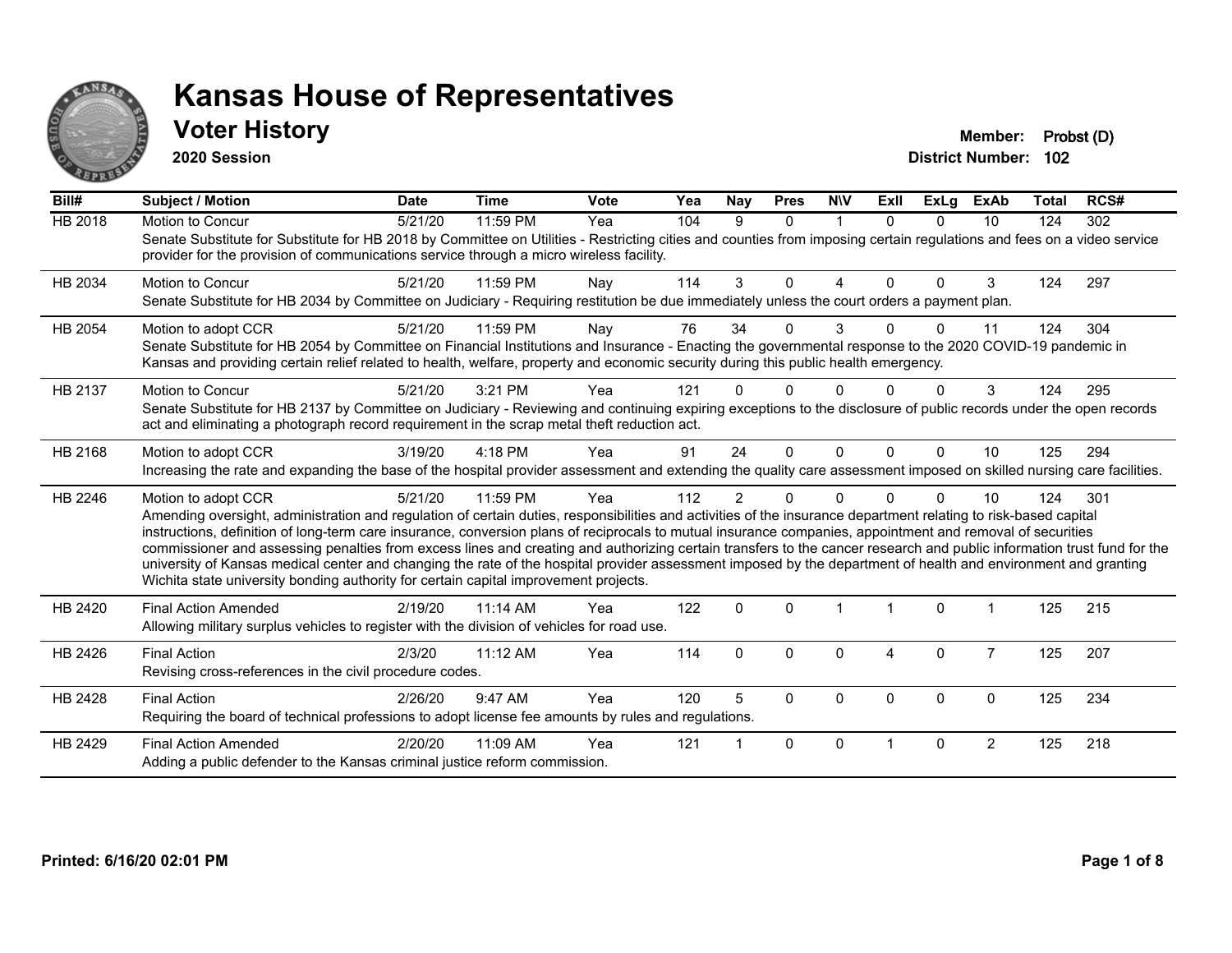

#### **Voter History Member: Probst (D)**

**2020 Session**

| Bill#          | Subject / Motion                                                                                                                                                                                                                                                                                                                                                                                                                                                                                                                                                                                                                                                                                                                                                                         | <b>Date</b> | <b>Time</b> | Vote | Yea | Nay            | <b>Pres</b> | <b>NIV</b>   | ExII     | ExLg     | <b>ExAb</b>    | Total | RCS# |
|----------------|------------------------------------------------------------------------------------------------------------------------------------------------------------------------------------------------------------------------------------------------------------------------------------------------------------------------------------------------------------------------------------------------------------------------------------------------------------------------------------------------------------------------------------------------------------------------------------------------------------------------------------------------------------------------------------------------------------------------------------------------------------------------------------------|-------------|-------------|------|-----|----------------|-------------|--------------|----------|----------|----------------|-------|------|
| <b>HB 2018</b> | Motion to Concur<br>Senate Substitute for Substitute for HB 2018 by Committee on Utilities - Restricting cities and counties from imposing certain regulations and fees on a video service<br>provider for the provision of communications service through a micro wireless facility.                                                                                                                                                                                                                                                                                                                                                                                                                                                                                                    | 5/21/20     | 11:59 PM    | Yea  | 104 | 9              | $\Omega$    | $\mathbf{1}$ | $\Omega$ | $\Omega$ | 10             | 124   | 302  |
| HB 2034        | <b>Motion to Concur</b><br>Senate Substitute for HB 2034 by Committee on Judiciary - Requiring restitution be due immediately unless the court orders a payment plan.                                                                                                                                                                                                                                                                                                                                                                                                                                                                                                                                                                                                                    | 5/21/20     | 11:59 PM    | Nay  | 114 | 3              | $\Omega$    | 4            | $\Omega$ | $\Omega$ | 3              | 124   | 297  |
| HB 2054        | Motion to adopt CCR<br>Senate Substitute for HB 2054 by Committee on Financial Institutions and Insurance - Enacting the governmental response to the 2020 COVID-19 pandemic in<br>Kansas and providing certain relief related to health, welfare, property and economic security during this public health emergency.                                                                                                                                                                                                                                                                                                                                                                                                                                                                   | 5/21/20     | 11:59 PM    | Nay  | 76  | 34             | 0           | 3            |          | 0        | 11             | 124   | 304  |
| HB 2137        | <b>Motion to Concur</b><br>Senate Substitute for HB 2137 by Committee on Judiciary - Reviewing and continuing expiring exceptions to the disclosure of public records under the open records<br>act and eliminating a photograph record requirement in the scrap metal theft reduction act.                                                                                                                                                                                                                                                                                                                                                                                                                                                                                              | 5/21/20     | 3:21 PM     | Yea  | 121 |                | 0           | U            |          |          | 3              | 124   | 295  |
| HB 2168        | Motion to adopt CCR<br>Increasing the rate and expanding the base of the hospital provider assessment and extending the quality care assessment imposed on skilled nursing care facilities.                                                                                                                                                                                                                                                                                                                                                                                                                                                                                                                                                                                              | 3/19/20     | 4:18 PM     | Yea  | 91  | 24             | $\Omega$    | $\Omega$     | $\Omega$ | $\Omega$ | 10             | 125   | 294  |
| HB 2246        | Motion to adopt CCR<br>Amending oversight, administration and regulation of certain duties, responsibilities and activities of the insurance department relating to risk-based capital<br>instructions, definition of long-term care insurance, conversion plans of reciprocals to mutual insurance companies, appointment and removal of securities<br>commissioner and assessing penalties from excess lines and creating and authorizing certain transfers to the cancer research and public information trust fund for the<br>university of Kansas medical center and changing the rate of the hospital provider assessment imposed by the department of health and environment and granting<br>Wichita state university bonding authority for certain capital improvement projects. | 5/21/20     | 11:59 PM    | Yea  | 112 | $\overline{2}$ | 0           | $\Omega$     |          | $\Omega$ | 10             | 124   | 301  |
| HB 2420        | <b>Final Action Amended</b><br>Allowing military surplus vehicles to register with the division of vehicles for road use.                                                                                                                                                                                                                                                                                                                                                                                                                                                                                                                                                                                                                                                                | 2/19/20     | 11:14 AM    | Yea  | 122 | $\mathbf{0}$   | $\Omega$    |              |          | $\Omega$ |                | 125   | 215  |
| HB 2426        | <b>Final Action</b><br>Revising cross-references in the civil procedure codes.                                                                                                                                                                                                                                                                                                                                                                                                                                                                                                                                                                                                                                                                                                           | 2/3/20      | 11:12 AM    | Yea  | 114 | $\Omega$       | 0           | $\Omega$     | 4        | $\Omega$ | $\overline{7}$ | 125   | 207  |
| HB 2428        | <b>Final Action</b><br>Requiring the board of technical professions to adopt license fee amounts by rules and regulations.                                                                                                                                                                                                                                                                                                                                                                                                                                                                                                                                                                                                                                                               | 2/26/20     | 9:47 AM     | Yea  | 120 | 5              | $\Omega$    | $\Omega$     | $\Omega$ | $\Omega$ | $\Omega$       | 125   | 234  |
| HB 2429        | <b>Final Action Amended</b><br>Adding a public defender to the Kansas criminal justice reform commission.                                                                                                                                                                                                                                                                                                                                                                                                                                                                                                                                                                                                                                                                                | 2/20/20     | 11:09 AM    | Yea  | 121 |                | 0           | $\Omega$     |          | $\Omega$ | $\overline{2}$ | 125   | 218  |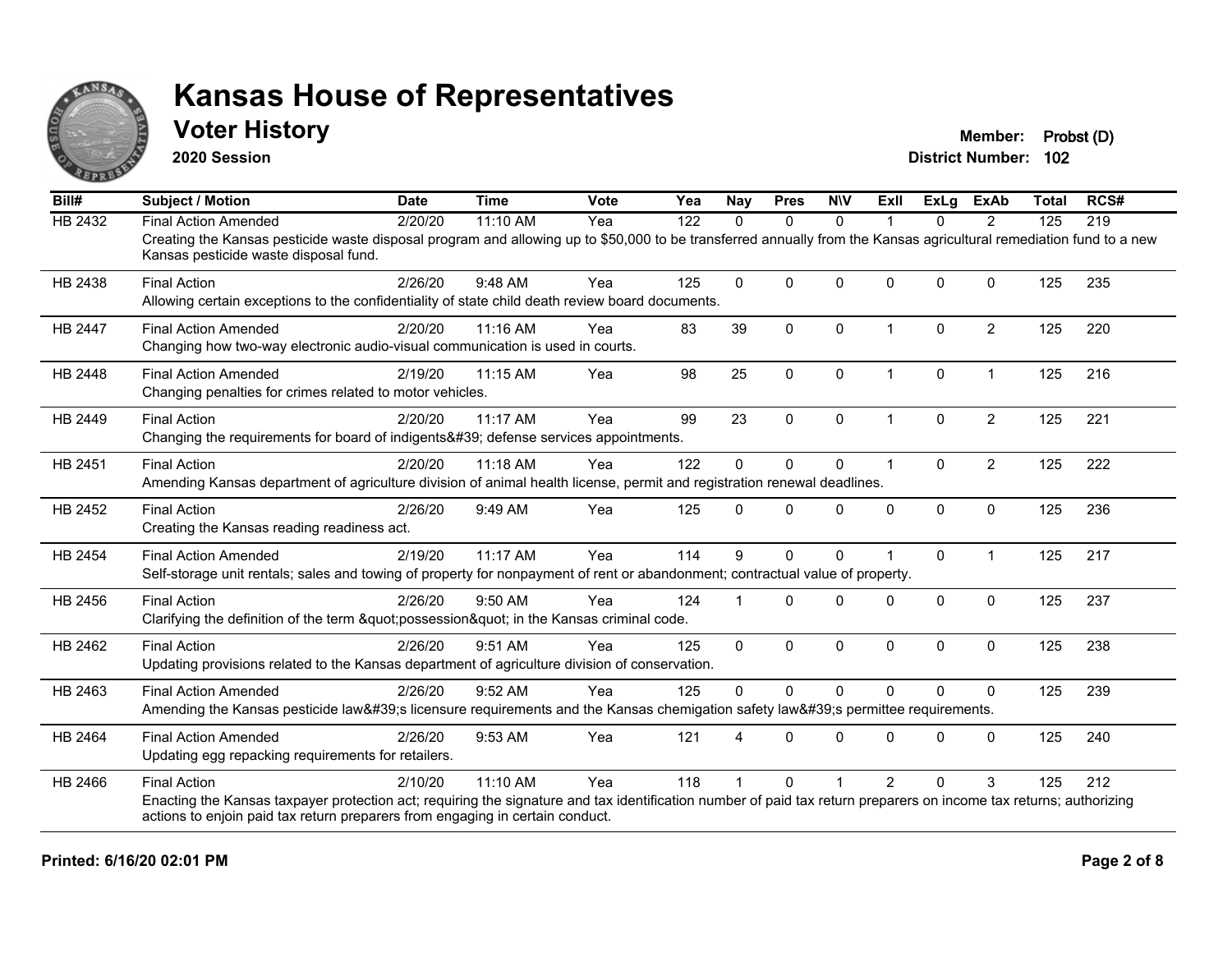

#### **Voter History Member: Probst (D)**

**2020 Session**

| Bill#          | <b>Subject / Motion</b>                                                                                                                                                                                     | <b>Date</b> | <b>Time</b> | Vote | Yea | <b>Nay</b> | <b>Pres</b>  | <b>NIV</b>   | ExII           | ExLg         | <b>ExAb</b>    | <b>Total</b> | RCS# |
|----------------|-------------------------------------------------------------------------------------------------------------------------------------------------------------------------------------------------------------|-------------|-------------|------|-----|------------|--------------|--------------|----------------|--------------|----------------|--------------|------|
| <b>HB 2432</b> | <b>Final Action Amended</b>                                                                                                                                                                                 | 2/20/20     | 11:10 AM    | Yea  | 122 | $\Omega$   | $\mathbf{0}$ | $\Omega$     |                | $\Omega$     | $\overline{2}$ | 125          | 219  |
|                | Creating the Kansas pesticide waste disposal program and allowing up to \$50,000 to be transferred annually from the Kansas agricultural remediation fund to a new<br>Kansas pesticide waste disposal fund. |             |             |      |     |            |              |              |                |              |                |              |      |
| HB 2438        | <b>Final Action</b>                                                                                                                                                                                         | 2/26/20     | 9:48 AM     | Yea  | 125 | $\Omega$   | $\Omega$     | $\Omega$     | $\Omega$       | $\Omega$     | $\Omega$       | 125          | 235  |
|                | Allowing certain exceptions to the confidentiality of state child death review board documents.                                                                                                             |             |             |      |     |            |              |              |                |              |                |              |      |
| HB 2447        | <b>Final Action Amended</b>                                                                                                                                                                                 | 2/20/20     | 11:16 AM    | Yea  | 83  | 39         | $\mathbf{0}$ | 0            | 1              | $\Omega$     | $\overline{2}$ | 125          | 220  |
|                | Changing how two-way electronic audio-visual communication is used in courts.                                                                                                                               |             |             |      |     |            |              |              |                |              |                |              |      |
| <b>HB 2448</b> | <b>Final Action Amended</b>                                                                                                                                                                                 | 2/19/20     | 11:15 AM    | Yea  | 98  | 25         | $\Omega$     | $\mathbf{0}$ | 1              | $\Omega$     | $\mathbf 1$    | 125          | 216  |
|                | Changing penalties for crimes related to motor vehicles.                                                                                                                                                    |             |             |      |     |            |              |              |                |              |                |              |      |
| HB 2449        | <b>Final Action</b>                                                                                                                                                                                         | 2/20/20     | 11:17 AM    | Yea  | 99  | 23         | $\mathbf 0$  | $\mathbf 0$  | 1              | $\mathbf{0}$ | $\overline{2}$ | 125          | 221  |
|                | Changing the requirements for board of indigents' defense services appointments.                                                                                                                            |             |             |      |     |            |              |              |                |              |                |              |      |
| HB 2451        | <b>Final Action</b>                                                                                                                                                                                         | 2/20/20     | 11:18 AM    | Yea  | 122 | $\Omega$   | $\mathbf{0}$ | 0            | 1              | $\Omega$     | $\overline{2}$ | 125          | 222  |
|                | Amending Kansas department of agriculture division of animal health license, permit and registration renewal deadlines.                                                                                     |             |             |      |     |            |              |              |                |              |                |              |      |
| HB 2452        | <b>Final Action</b>                                                                                                                                                                                         | 2/26/20     | 9:49 AM     | Yea  | 125 | $\Omega$   | $\Omega$     | 0            | $\Omega$       | $\Omega$     | $\Omega$       | 125          | 236  |
|                | Creating the Kansas reading readiness act.                                                                                                                                                                  |             |             |      |     |            |              |              |                |              |                |              |      |
| HB 2454        | <b>Final Action Amended</b>                                                                                                                                                                                 | 2/19/20     | 11:17 AM    | Yea  | 114 | 9          | $\mathbf 0$  | 0            |                | $\Omega$     | $\mathbf{1}$   | 125          | 217  |
|                | Self-storage unit rentals; sales and towing of property for nonpayment of rent or abandonment; contractual value of property.                                                                               |             |             |      |     |            |              |              |                |              |                |              |      |
| HB 2456        | <b>Final Action</b>                                                                                                                                                                                         | 2/26/20     | 9:50 AM     | Yea  | 124 |            | $\Omega$     | $\Omega$     | $\Omega$       | $\Omega$     | $\mathbf{0}$   | 125          | 237  |
|                | Clarifying the definition of the term "possession" in the Kansas criminal code.                                                                                                                             |             |             |      |     |            |              |              |                |              |                |              |      |
| HB 2462        | <b>Final Action</b>                                                                                                                                                                                         | 2/26/20     | 9:51 AM     | Yea  | 125 | 0          | $\mathbf 0$  | 0            | 0              | 0            | $\mathbf 0$    | 125          | 238  |
|                | Updating provisions related to the Kansas department of agriculture division of conservation.                                                                                                               |             |             |      |     |            |              |              |                |              |                |              |      |
| HB 2463        | <b>Final Action Amended</b>                                                                                                                                                                                 | 2/26/20     | 9:52 AM     | Yea  | 125 | $\Omega$   | $\Omega$     | $\mathbf{0}$ | $\Omega$       | $\Omega$     | $\Omega$       | 125          | 239  |
|                | Amending the Kansas pesticide law's licensure requirements and the Kansas chemigation safety law's permittee requirements.                                                                                  |             |             |      |     |            |              |              |                |              |                |              |      |
| HB 2464        | <b>Final Action Amended</b>                                                                                                                                                                                 | 2/26/20     | 9:53 AM     | Yea  | 121 |            | $\Omega$     | $\Omega$     | 0              | $\Omega$     | $\Omega$       | 125          | 240  |
|                | Updating egg repacking requirements for retailers.                                                                                                                                                          |             |             |      |     |            |              |              |                |              |                |              |      |
| HB 2466        | <b>Final Action</b>                                                                                                                                                                                         | 2/10/20     | 11:10 AM    | Yea  | 118 |            | $\Omega$     |              | $\overline{2}$ | $\Omega$     | 3              | 125          | 212  |
|                | Enacting the Kansas taxpayer protection act; requiring the signature and tax identification number of paid tax return preparers on income tax returns; authorizing                                          |             |             |      |     |            |              |              |                |              |                |              |      |
|                | actions to enjoin paid tax return preparers from engaging in certain conduct.                                                                                                                               |             |             |      |     |            |              |              |                |              |                |              |      |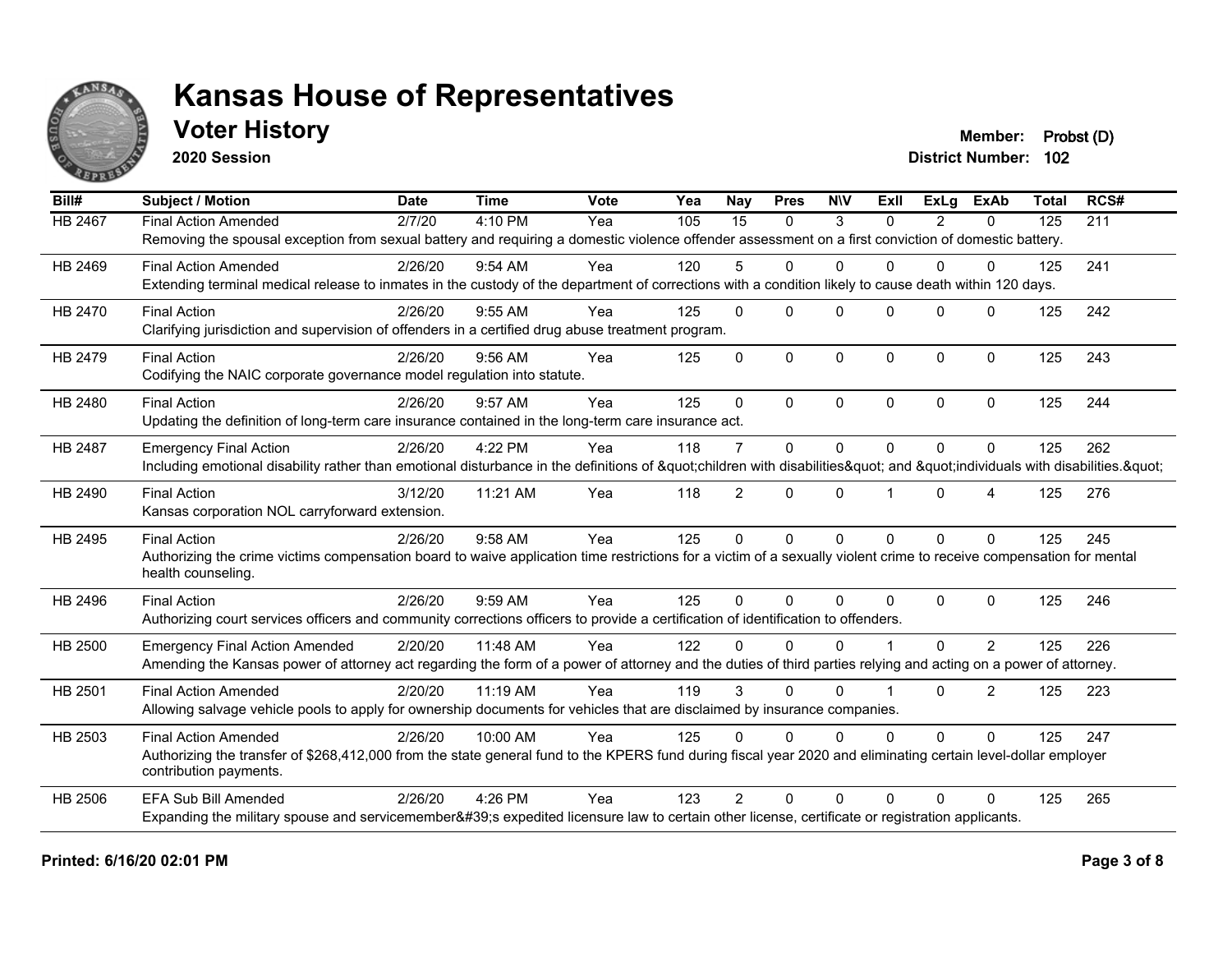

### **Voter History Member: Probst (D)**

**2020 Session**

| Bill#          | <b>Subject / Motion</b>                                                                                                                                                                   | <b>Date</b> | <b>Time</b> | <b>Vote</b> | Yea | Nay            | <b>Pres</b>  | <b>NIV</b>   | <b>ExII</b>    | <b>ExLg</b>   | <b>ExAb</b>      | <b>Total</b>                                                              | RCS# |
|----------------|-------------------------------------------------------------------------------------------------------------------------------------------------------------------------------------------|-------------|-------------|-------------|-----|----------------|--------------|--------------|----------------|---------------|------------------|---------------------------------------------------------------------------|------|
| HB 2467        | <b>Final Action Amended</b>                                                                                                                                                               | 2/7/20      | 4:10 PM     | Yea         | 105 | 15             | $\Omega$     | 3            | $\Omega$       | $\mathcal{P}$ | $\Omega$         | 125                                                                       | 211  |
|                | Removing the spousal exception from sexual battery and requiring a domestic violence offender assessment on a first conviction of domestic battery.                                       |             |             |             |     |                |              |              |                |               |                  |                                                                           |      |
| HB 2469        | <b>Final Action Amended</b>                                                                                                                                                               | 2/26/20     | 9:54 AM     | Yea         | 120 | 5              | $\Omega$     | $\Omega$     | 0              | $\Omega$      | $\Omega$         | 125                                                                       | 241  |
|                | Extending terminal medical release to inmates in the custody of the department of corrections with a condition likely to cause death within 120 days.                                     |             |             |             |     |                |              |              |                |               |                  | 125<br>125<br>125<br>125<br>125<br>125<br>125<br>125<br>125<br>125<br>125 |      |
| HB 2470        | <b>Final Action</b>                                                                                                                                                                       | 2/26/20     | 9:55 AM     | Yea         | 125 | $\mathbf 0$    | $\Omega$     | $\Omega$     | 0              | $\Omega$      | $\Omega$         |                                                                           | 242  |
|                | Clarifying jurisdiction and supervision of offenders in a certified drug abuse treatment program.                                                                                         |             |             |             |     |                |              |              |                |               |                  |                                                                           |      |
| HB 2479        | <b>Final Action</b>                                                                                                                                                                       | 2/26/20     | $9:56$ AM   | Yea         | 125 | 0              | $\Omega$     | $\Omega$     | $\Omega$       | $\Omega$      | $\mathbf{0}$     |                                                                           | 243  |
|                | Codifying the NAIC corporate governance model regulation into statute.                                                                                                                    |             |             |             |     |                |              |              |                |               |                  |                                                                           |      |
| HB 2480        | <b>Final Action</b>                                                                                                                                                                       | 2/26/20     | 9:57 AM     | Yea         | 125 | $\Omega$       | $\Omega$     | $\mathbf{0}$ | $\Omega$       | $\mathbf{0}$  | $\mathbf{0}$     |                                                                           | 244  |
|                | Updating the definition of long-term care insurance contained in the long-term care insurance act.                                                                                        |             |             |             |     |                |              |              |                |               |                  |                                                                           |      |
| HB 2487        | <b>Emergency Final Action</b>                                                                                                                                                             | 2/26/20     | 4:22 PM     | Yea         | 118 | $\overline{7}$ | $\mathbf 0$  | $\mathbf 0$  | $\Omega$       | $\Omega$      | $\mathbf 0$      |                                                                           | 262  |
|                | Including emotional disability rather than emotional disturbance in the definitions of "children with disabilities" and "individuals with disabilities. "                                 |             |             |             |     |                |              |              |                |               |                  |                                                                           |      |
| HB 2490        | <b>Final Action</b>                                                                                                                                                                       | 3/12/20     | 11:21 AM    | Yea         | 118 | $\overline{2}$ | $\Omega$     | $\mathbf 0$  | $\overline{1}$ | $\Omega$      | $\boldsymbol{4}$ |                                                                           | 276  |
|                | Kansas corporation NOL carryforward extension.                                                                                                                                            |             |             |             |     |                |              |              |                |               |                  |                                                                           |      |
| HB 2495        | <b>Final Action</b>                                                                                                                                                                       | 2/26/20     | 9:58 AM     | Yea         | 125 | 0              | $\Omega$     | $\mathbf{0}$ | $\Omega$       | $\Omega$      | $\Omega$         |                                                                           | 245  |
|                | Authorizing the crime victims compensation board to waive application time restrictions for a victim of a sexually violent crime to receive compensation for mental<br>health counseling. |             |             |             |     |                |              |              |                |               |                  |                                                                           |      |
| HB 2496        | <b>Final Action</b>                                                                                                                                                                       | 2/26/20     | 9:59 AM     | Yea         | 125 | $\Omega$       | $\Omega$     | $\Omega$     | $\Omega$       | $\Omega$      | $\mathbf{0}$     |                                                                           | 246  |
|                | Authorizing court services officers and community corrections officers to provide a certification of identification to offenders.                                                         |             |             |             |     |                |              |              |                |               |                  |                                                                           |      |
| <b>HB 2500</b> | <b>Emergency Final Action Amended</b>                                                                                                                                                     | 2/20/20     | 11:48 AM    | Yea         | 122 | 0              | $\Omega$     | $\Omega$     |                | $\Omega$      | 2                |                                                                           | 226  |
|                | Amending the Kansas power of attorney act regarding the form of a power of attorney and the duties of third parties relying and acting on a power of attorney.                            |             |             |             |     |                |              |              |                |               |                  |                                                                           |      |
| HB 2501        | <b>Final Action Amended</b>                                                                                                                                                               | 2/20/20     | 11:19 AM    | Yea         | 119 | 3              | $\Omega$     | $\Omega$     |                | $\Omega$      | $\overline{2}$   |                                                                           | 223  |
|                | Allowing salvage vehicle pools to apply for ownership documents for vehicles that are disclaimed by insurance companies.                                                                  |             |             |             |     |                |              |              |                |               |                  |                                                                           |      |
| HB 2503        | <b>Final Action Amended</b>                                                                                                                                                               | 2/26/20     | 10:00 AM    | Yea         | 125 | $\Omega$       | $\mathbf{0}$ | $\Omega$     | 0              | $\Omega$      | $\Omega$         |                                                                           | 247  |
|                | Authorizing the transfer of \$268,412,000 from the state general fund to the KPERS fund during fiscal year 2020 and eliminating certain level-dollar employer<br>contribution payments.   |             |             |             |     |                |              |              |                |               |                  |                                                                           |      |
| <b>HB 2506</b> | <b>EFA Sub Bill Amended</b>                                                                                                                                                               | 2/26/20     | 4:26 PM     | Yea         | 123 | $\overline{2}$ | $\Omega$     | $\Omega$     | $\Omega$       | $\Omega$      | $\Omega$         |                                                                           | 265  |
|                | Expanding the military spouse and servicemember's expedited licensure law to certain other license, certificate or registration applicants.                                               |             |             |             |     |                |              |              |                |               |                  |                                                                           |      |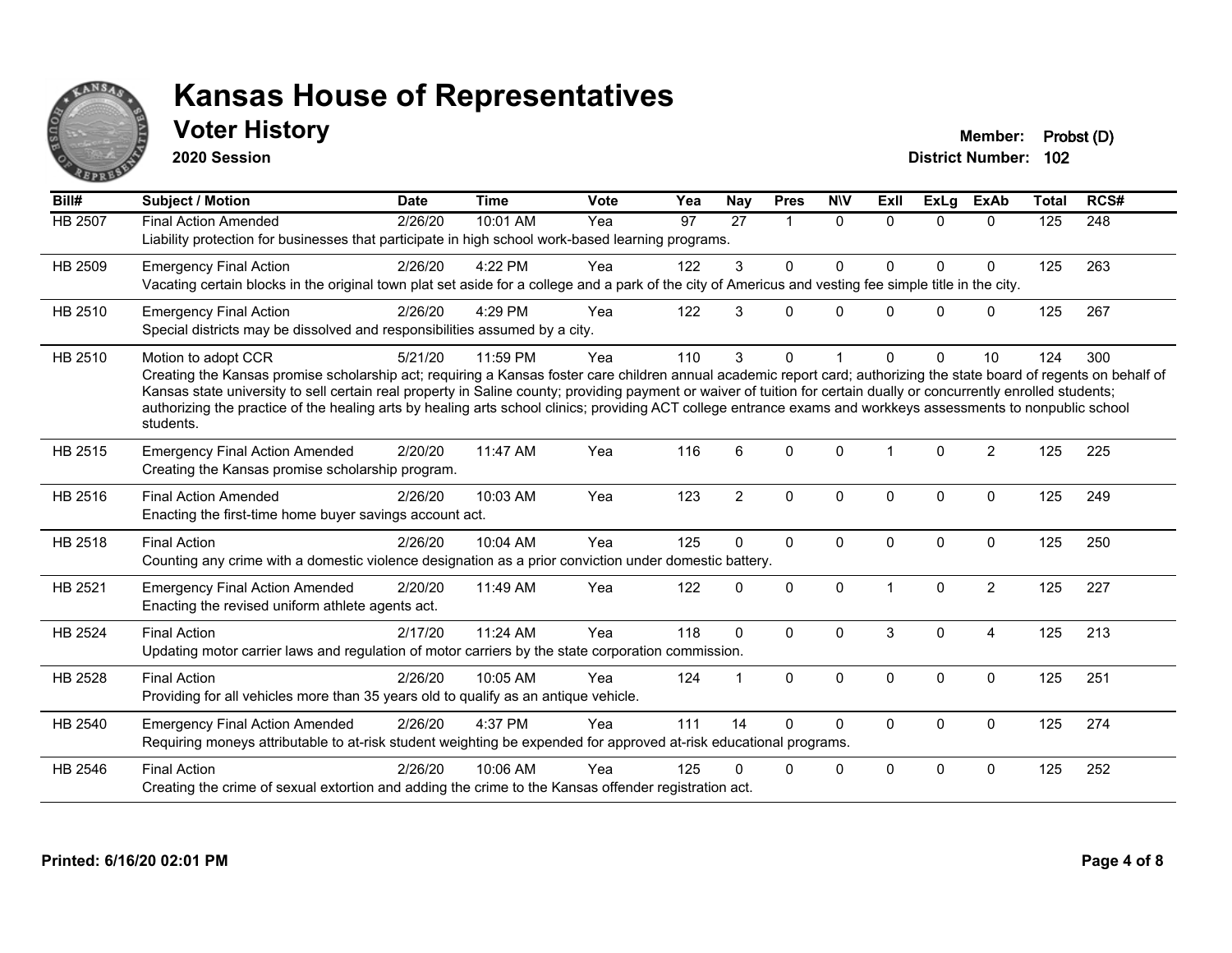

### **Voter History Member: Probst (D)**

**2020 Session**

| Bill#          | <b>Subject / Motion</b>                                                                                                                                                                                                                                                                                                                                                                                                                                                                                                                             | <b>Date</b> | Time     | <b>Vote</b> | Yea | <b>Nay</b>     | <b>Pres</b>             | <b>NIV</b>   | ExII         | <b>ExLg</b>  | <b>ExAb</b>    | <b>Total</b> | RCS# |
|----------------|-----------------------------------------------------------------------------------------------------------------------------------------------------------------------------------------------------------------------------------------------------------------------------------------------------------------------------------------------------------------------------------------------------------------------------------------------------------------------------------------------------------------------------------------------------|-------------|----------|-------------|-----|----------------|-------------------------|--------------|--------------|--------------|----------------|--------------|------|
| <b>HB 2507</b> | <b>Final Action Amended</b><br>Liability protection for businesses that participate in high school work-based learning programs.                                                                                                                                                                                                                                                                                                                                                                                                                    | 2/26/20     | 10:01 AM | Yea         | 97  | 27             | $\overline{\mathbf{1}}$ | $\mathbf{0}$ | $\Omega$     | $\Omega$     | $\mathbf{0}$   | 125          | 248  |
| HB 2509        | <b>Emergency Final Action</b><br>Vacating certain blocks in the original town plat set aside for a college and a park of the city of Americus and vesting fee simple title in the city.                                                                                                                                                                                                                                                                                                                                                             | 2/26/20     | 4:22 PM  | Yea         | 122 | 3              | $\Omega$                | 0            | $\Omega$     | $\mathbf{0}$ | $\mathbf 0$    | 125          | 263  |
| HB 2510        | <b>Emergency Final Action</b><br>Special districts may be dissolved and responsibilities assumed by a city.                                                                                                                                                                                                                                                                                                                                                                                                                                         | 2/26/20     | 4:29 PM  | Yea         | 122 | 3              | $\Omega$                | $\Omega$     | 0            | $\Omega$     | $\mathbf{0}$   | 125          | 267  |
| HB 2510        | Motion to adopt CCR<br>Creating the Kansas promise scholarship act; requiring a Kansas foster care children annual academic report card; authorizing the state board of regents on behalf of<br>Kansas state university to sell certain real property in Saline county; providing payment or waiver of tuition for certain dually or concurrently enrolled students;<br>authorizing the practice of the healing arts by healing arts school clinics; providing ACT college entrance exams and workkeys assessments to nonpublic school<br>students. | 5/21/20     | 11:59 PM | Yea         | 110 | 3              | $\Omega$                |              | <sup>0</sup> | $\Omega$     | 10             | 124          | 300  |
| HB 2515        | <b>Emergency Final Action Amended</b><br>Creating the Kansas promise scholarship program.                                                                                                                                                                                                                                                                                                                                                                                                                                                           | 2/20/20     | 11:47 AM | Yea         | 116 | 6              | $\Omega$                | $\mathbf{0}$ |              | $\Omega$     | $\overline{2}$ | 125          | 225  |
| HB 2516        | <b>Final Action Amended</b><br>Enacting the first-time home buyer savings account act.                                                                                                                                                                                                                                                                                                                                                                                                                                                              | 2/26/20     | 10:03 AM | Yea         | 123 | $\overline{2}$ | 0                       | 0            | $\Omega$     | $\mathbf 0$  | $\mathbf 0$    | 125          | 249  |
| HB 2518        | <b>Final Action</b><br>Counting any crime with a domestic violence designation as a prior conviction under domestic battery.                                                                                                                                                                                                                                                                                                                                                                                                                        | 2/26/20     | 10:04 AM | Yea         | 125 | $\Omega$       | $\mathbf 0$             | 0            | $\Omega$     | $\mathbf 0$  | $\mathbf 0$    | 125          | 250  |
| HB 2521        | <b>Emergency Final Action Amended</b><br>Enacting the revised uniform athlete agents act.                                                                                                                                                                                                                                                                                                                                                                                                                                                           | 2/20/20     | 11:49 AM | Yea         | 122 | $\Omega$       | $\mathbf 0$             | 0            |              | $\mathbf 0$  | $\overline{c}$ | 125          | 227  |
| <b>HB 2524</b> | <b>Final Action</b><br>Updating motor carrier laws and regulation of motor carriers by the state corporation commission.                                                                                                                                                                                                                                                                                                                                                                                                                            | 2/17/20     | 11:24 AM | Yea         | 118 | $\Omega$       | $\Omega$                | $\mathbf{0}$ | 3            | $\Omega$     | $\overline{4}$ | 125          | 213  |
| HB 2528        | <b>Final Action</b><br>Providing for all vehicles more than 35 years old to qualify as an antique vehicle.                                                                                                                                                                                                                                                                                                                                                                                                                                          | 2/26/20     | 10:05 AM | Yea         | 124 |                | $\mathbf{0}$            | $\Omega$     | $\Omega$     | $\mathbf{0}$ | $\mathbf{0}$   | 125          | 251  |
| HB 2540        | <b>Emergency Final Action Amended</b><br>Requiring moneys attributable to at-risk student weighting be expended for approved at-risk educational programs.                                                                                                                                                                                                                                                                                                                                                                                          | 2/26/20     | 4:37 PM  | Yea         | 111 | 14             | $\Omega$                | $\mathbf{0}$ | $\Omega$     | $\mathbf 0$  | $\mathbf 0$    | 125          | 274  |
| HB 2546        | <b>Final Action</b><br>Creating the crime of sexual extortion and adding the crime to the Kansas offender registration act.                                                                                                                                                                                                                                                                                                                                                                                                                         | 2/26/20     | 10:06 AM | Yea         | 125 | U              | 0                       | 0            | $\Omega$     | $\Omega$     | 0              | 125          | 252  |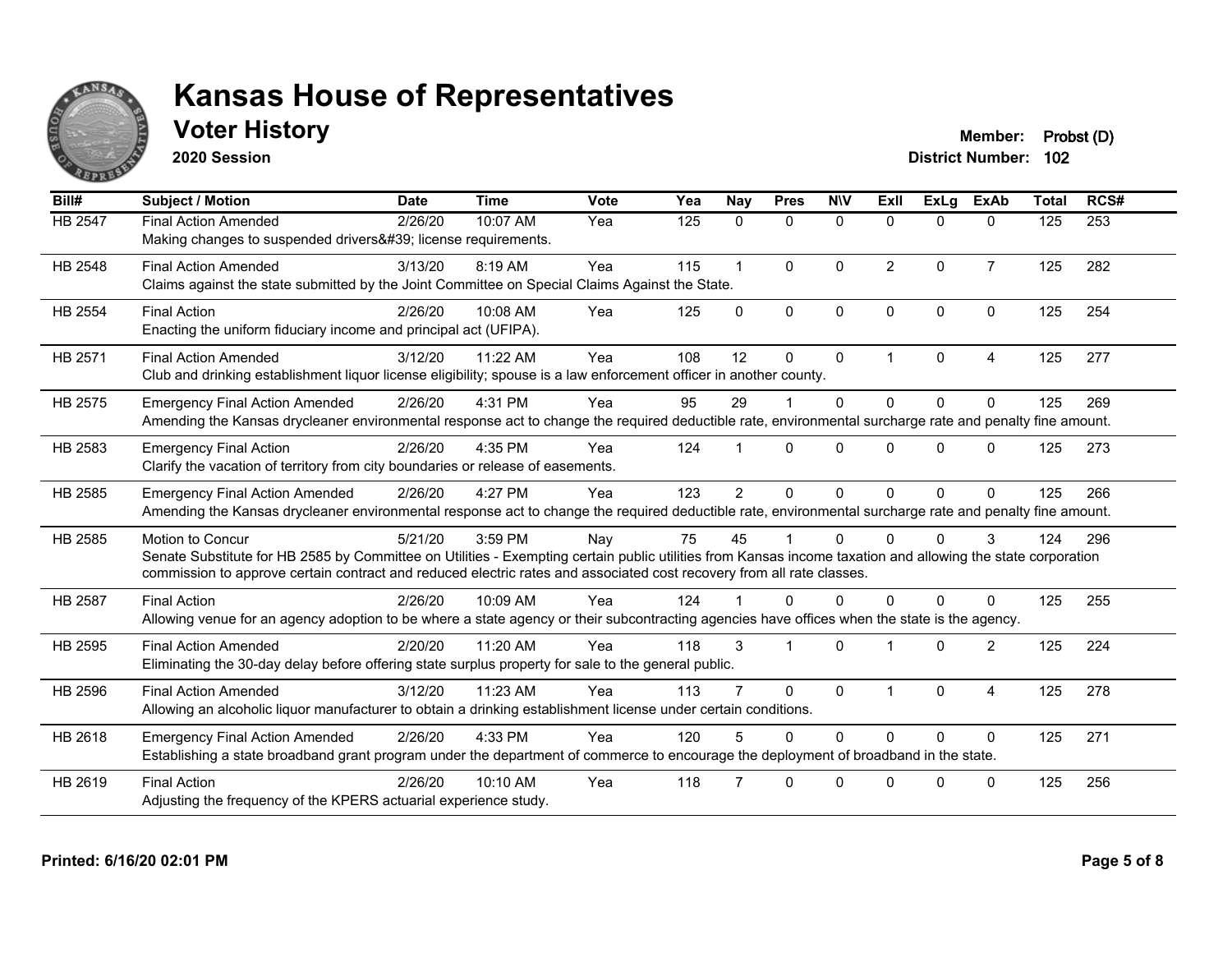

### **Voter History Member: Probst (D)**

**2020 Session**

| Bill#          | <b>Subject / Motion</b>                                                                                                                                     | <b>Date</b> | <b>Time</b> | Vote | Yea | Nay            | <b>Pres</b>          | <b>NIV</b>   | <b>Exll</b>          | <b>ExLg</b>  | <b>ExAb</b>    | <b>Total</b>                           | RCS# |
|----------------|-------------------------------------------------------------------------------------------------------------------------------------------------------------|-------------|-------------|------|-----|----------------|----------------------|--------------|----------------------|--------------|----------------|----------------------------------------|------|
| <b>HB 2547</b> | <b>Final Action Amended</b>                                                                                                                                 | 2/26/20     | 10:07 AM    | Yea  | 125 | $\mathbf{0}$   | $\mathbf{0}$         | $\mathbf{0}$ | $\Omega$             | 0            | 0              | 125                                    | 253  |
|                | Making changes to suspended drivers' license requirements.                                                                                                  |             |             |      |     |                |                      |              |                      |              |                |                                        |      |
| <b>HB 2548</b> | <b>Final Action Amended</b>                                                                                                                                 | 3/13/20     | 8:19 AM     | Yea  | 115 | 1              | $\Omega$             | $\Omega$     | $\overline{2}$       | $\Omega$     | $\overline{7}$ | 125                                    | 282  |
|                | Claims against the state submitted by the Joint Committee on Special Claims Against the State.                                                              |             |             |      |     |                |                      |              |                      |              |                |                                        |      |
| HB 2554        | <b>Final Action</b>                                                                                                                                         | 2/26/20     | 10:08 AM    | Yea  | 125 | $\Omega$       | $\mathbf{0}$         | $\mathbf 0$  | $\mathbf{0}$         | $\Omega$     | $\mathbf{0}$   | 125                                    | 254  |
|                | Enacting the uniform fiduciary income and principal act (UFIPA).                                                                                            |             |             |      |     |                |                      |              |                      |              |                | 125<br>125<br>125<br>125<br>124<br>125 |      |
| HB 2571        | <b>Final Action Amended</b>                                                                                                                                 | 3/12/20     | 11:22 AM    | Yea  | 108 | 12             | $\Omega$             | $\mathbf{0}$ | $\blacktriangleleft$ | $\mathbf{0}$ | 4              |                                        | 277  |
|                | Club and drinking establishment liquor license eligibility; spouse is a law enforcement officer in another county.                                          |             |             |      |     |                |                      |              |                      |              |                |                                        |      |
| HB 2575        | <b>Emergency Final Action Amended</b>                                                                                                                       | 2/26/20     | 4:31 PM     | Yea  | 95  | 29             |                      | $\Omega$     | $\Omega$             | $\Omega$     | $\Omega$       |                                        | 269  |
|                | Amending the Kansas drycleaner environmental response act to change the required deductible rate, environmental surcharge rate and penalty fine amount.     |             |             |      |     |                |                      |              |                      |              |                |                                        |      |
| HB 2583        | <b>Emergency Final Action</b>                                                                                                                               | 2/26/20     | 4:35 PM     | Yea  | 124 |                | $\Omega$             | $\Omega$     | $\Omega$             | $\Omega$     | $\Omega$       |                                        | 273  |
|                | Clarify the vacation of territory from city boundaries or release of easements.                                                                             |             |             |      |     |                |                      |              |                      |              |                |                                        |      |
| HB 2585        | <b>Emergency Final Action Amended</b>                                                                                                                       | 2/26/20     | 4:27 PM     | Yea  | 123 | $\overline{2}$ | $\mathbf{0}$         | $\Omega$     | $\Omega$             | $\Omega$     | $\Omega$       |                                        | 266  |
|                | Amending the Kansas drycleaner environmental response act to change the required deductible rate, environmental surcharge rate and penalty fine amount.     |             |             |      |     |                |                      |              |                      |              |                |                                        |      |
| HB 2585        | <b>Motion to Concur</b>                                                                                                                                     | 5/21/20     | 3:59 PM     | Nay  | 75  | 45             |                      | $\Omega$     | $\Omega$             | $\Omega$     | 3              |                                        | 296  |
|                | Senate Substitute for HB 2585 by Committee on Utilities - Exempting certain public utilities from Kansas income taxation and allowing the state corporation |             |             |      |     |                |                      |              |                      |              |                |                                        |      |
|                | commission to approve certain contract and reduced electric rates and associated cost recovery from all rate classes.                                       |             |             |      |     |                |                      |              |                      |              |                |                                        |      |
| <b>HB 2587</b> | <b>Final Action</b>                                                                                                                                         | 2/26/20     | 10:09 AM    | Yea  | 124 |                | $\Omega$             | $\Omega$     | $\Omega$             | $\Omega$     | $\Omega$       |                                        | 255  |
|                | Allowing venue for an agency adoption to be where a state agency or their subcontracting agencies have offices when the state is the agency.                |             |             |      |     |                |                      |              |                      |              |                |                                        |      |
| HB 2595        | <b>Final Action Amended</b>                                                                                                                                 | 2/20/20     | 11:20 AM    | Yea  | 118 | 3              | $\blacktriangleleft$ | $\Omega$     |                      | $\Omega$     | 2              | 125                                    | 224  |
|                | Eliminating the 30-day delay before offering state surplus property for sale to the general public.                                                         |             |             |      |     |                |                      |              |                      |              |                |                                        |      |
| HB 2596        | <b>Final Action Amended</b>                                                                                                                                 | 3/12/20     | 11:23 AM    | Yea  | 113 |                | $\Omega$             | $\Omega$     |                      | $\Omega$     | $\overline{4}$ | 125                                    | 278  |
|                | Allowing an alcoholic liquor manufacturer to obtain a drinking establishment license under certain conditions.                                              |             |             |      |     |                |                      |              |                      |              |                |                                        |      |
| HB 2618        | <b>Emergency Final Action Amended</b>                                                                                                                       | 2/26/20     | 4:33 PM     | Yea  | 120 | 5              | $\Omega$             | $\Omega$     | $\Omega$             | $\Omega$     | $\mathbf{0}$   | 125                                    | 271  |
|                | Establishing a state broadband grant program under the department of commerce to encourage the deployment of broadband in the state.                        |             |             |      |     |                |                      |              |                      |              |                |                                        |      |
| HB 2619        | <b>Final Action</b>                                                                                                                                         | 2/26/20     | 10:10 AM    | Yea  | 118 |                | $\Omega$             | $\Omega$     | <sup>n</sup>         | $\Omega$     | $\mathbf{0}$   | 125                                    | 256  |
|                | Adjusting the frequency of the KPERS actuarial experience study.                                                                                            |             |             |      |     |                |                      |              |                      |              |                |                                        |      |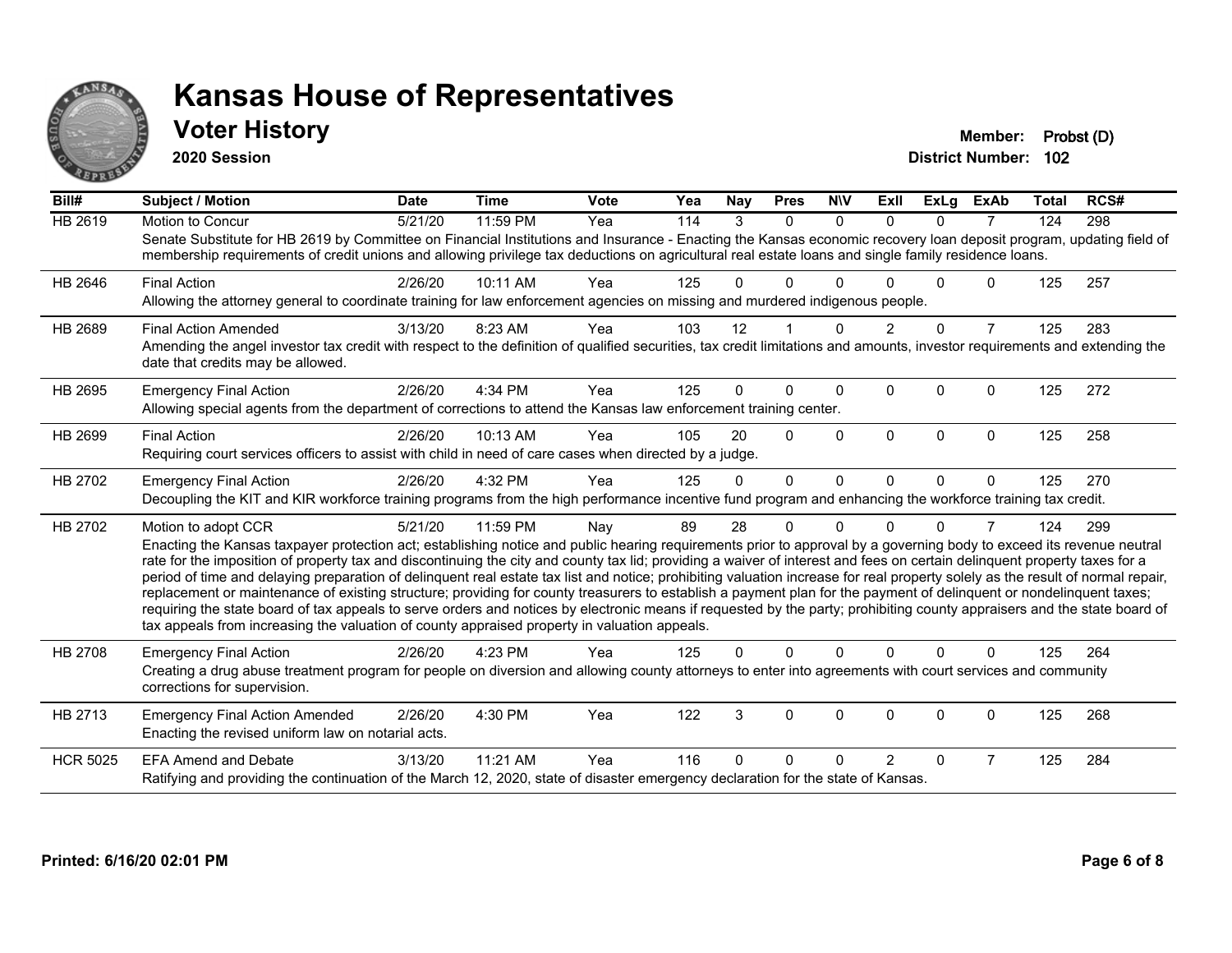

#### **Voter History Member: Probst (D)**

**2020 Session**

| Bill#           | <b>Subject / Motion</b>                                                                                                                                                                                                                                                                                                                                                                                                                                                                                                                                                                                                                                                                                                                                                                                                                                                                                                                                                                                       | <b>Date</b> | <b>Time</b> | <b>Vote</b> | Yea | Nay | <b>Pres</b> | <b>NIV</b>   | ExII     | <b>ExLg</b> | <b>ExAb</b>    | <b>Total</b> | RCS# |
|-----------------|---------------------------------------------------------------------------------------------------------------------------------------------------------------------------------------------------------------------------------------------------------------------------------------------------------------------------------------------------------------------------------------------------------------------------------------------------------------------------------------------------------------------------------------------------------------------------------------------------------------------------------------------------------------------------------------------------------------------------------------------------------------------------------------------------------------------------------------------------------------------------------------------------------------------------------------------------------------------------------------------------------------|-------------|-------------|-------------|-----|-----|-------------|--------------|----------|-------------|----------------|--------------|------|
| <b>HB 2619</b>  | <b>Motion to Concur</b><br>Senate Substitute for HB 2619 by Committee on Financial Institutions and Insurance - Enacting the Kansas economic recovery loan deposit program, updating field of<br>membership requirements of credit unions and allowing privilege tax deductions on agricultural real estate loans and single family residence loans.                                                                                                                                                                                                                                                                                                                                                                                                                                                                                                                                                                                                                                                          | 5/21/20     | 11:59 PM    | Yea         | 114 | 3   | $\Omega$    | $\Omega$     | $\Omega$ | $\Omega$    | 7              | 124          | 298  |
| HB 2646         | <b>Final Action</b><br>Allowing the attorney general to coordinate training for law enforcement agencies on missing and murdered indigenous people.                                                                                                                                                                                                                                                                                                                                                                                                                                                                                                                                                                                                                                                                                                                                                                                                                                                           | 2/26/20     | 10:11 AM    | Yea         | 125 | U   | 0           |              |          | U           | $\Omega$       | 125          | 257  |
| HB 2689         | <b>Final Action Amended</b><br>Amending the angel investor tax credit with respect to the definition of qualified securities, tax credit limitations and amounts, investor requirements and extending the<br>date that credits may be allowed.                                                                                                                                                                                                                                                                                                                                                                                                                                                                                                                                                                                                                                                                                                                                                                | 3/13/20     | 8:23 AM     | Yea         | 103 | 12  |             | $\Omega$     | 2        | $\Omega$    | $\overline{7}$ | 125          | 283  |
| HB 2695         | <b>Emergency Final Action</b><br>Allowing special agents from the department of corrections to attend the Kansas law enforcement training center.                                                                                                                                                                                                                                                                                                                                                                                                                                                                                                                                                                                                                                                                                                                                                                                                                                                             | 2/26/20     | 4:34 PM     | Yea         | 125 | 0   | 0           | $\Omega$     | $\Omega$ | 0           | $\Omega$       | 125          | 272  |
| HB 2699         | <b>Final Action</b><br>Requiring court services officers to assist with child in need of care cases when directed by a judge.                                                                                                                                                                                                                                                                                                                                                                                                                                                                                                                                                                                                                                                                                                                                                                                                                                                                                 | 2/26/20     | 10:13 AM    | Yea         | 105 | 20  | $\Omega$    | $\Omega$     | $\Omega$ | $\Omega$    | 0              | 125          | 258  |
| HB 2702         | <b>Emergency Final Action</b><br>Decoupling the KIT and KIR workforce training programs from the high performance incentive fund program and enhancing the workforce training tax credit.                                                                                                                                                                                                                                                                                                                                                                                                                                                                                                                                                                                                                                                                                                                                                                                                                     | 2/26/20     | 4:32 PM     | Yea         | 125 | 0   | $\Omega$    | $\Omega$     | $\Omega$ | $\Omega$    | $\Omega$       | 125          | 270  |
| HB 2702         | Motion to adopt CCR<br>Enacting the Kansas taxpayer protection act; establishing notice and public hearing requirements prior to approval by a governing body to exceed its revenue neutral<br>rate for the imposition of property tax and discontinuing the city and county tax lid; providing a waiver of interest and fees on certain delinquent property taxes for a<br>period of time and delaying preparation of delinquent real estate tax list and notice; prohibiting valuation increase for real property solely as the result of normal repair,<br>replacement or maintenance of existing structure; providing for county treasurers to establish a payment plan for the payment of delinquent or nondelinquent taxes;<br>requiring the state board of tax appeals to serve orders and notices by electronic means if requested by the party; prohibiting county appraisers and the state board of<br>tax appeals from increasing the valuation of county appraised property in valuation appeals. | 5/21/20     | 11:59 PM    | Nay         | 89  | 28  | 0           | <sup>0</sup> |          | 0           |                | 124          | 299  |
| HB 2708         | <b>Emergency Final Action</b><br>Creating a drug abuse treatment program for people on diversion and allowing county attorneys to enter into agreements with court services and community<br>corrections for supervision.                                                                                                                                                                                                                                                                                                                                                                                                                                                                                                                                                                                                                                                                                                                                                                                     | 2/26/20     | 4:23 PM     | Yea         | 125 | 0   | $\Omega$    | $\Omega$     | $\Omega$ | $\Omega$    | $\Omega$       | 125          | 264  |
| HB 2713         | <b>Emergency Final Action Amended</b><br>Enacting the revised uniform law on notarial acts.                                                                                                                                                                                                                                                                                                                                                                                                                                                                                                                                                                                                                                                                                                                                                                                                                                                                                                                   | 2/26/20     | 4:30 PM     | Yea         | 122 | 3   | $\Omega$    | $\Omega$     | $\Omega$ | $\Omega$    | $\Omega$       | 125          | 268  |
| <b>HCR 5025</b> | <b>EFA Amend and Debate</b><br>Ratifying and providing the continuation of the March 12, 2020, state of disaster emergency declaration for the state of Kansas.                                                                                                                                                                                                                                                                                                                                                                                                                                                                                                                                                                                                                                                                                                                                                                                                                                               | 3/13/20     | 11:21 AM    | Yea         | 116 | U   | 0           | ∩            | 2        | 0           | 7              | 125          | 284  |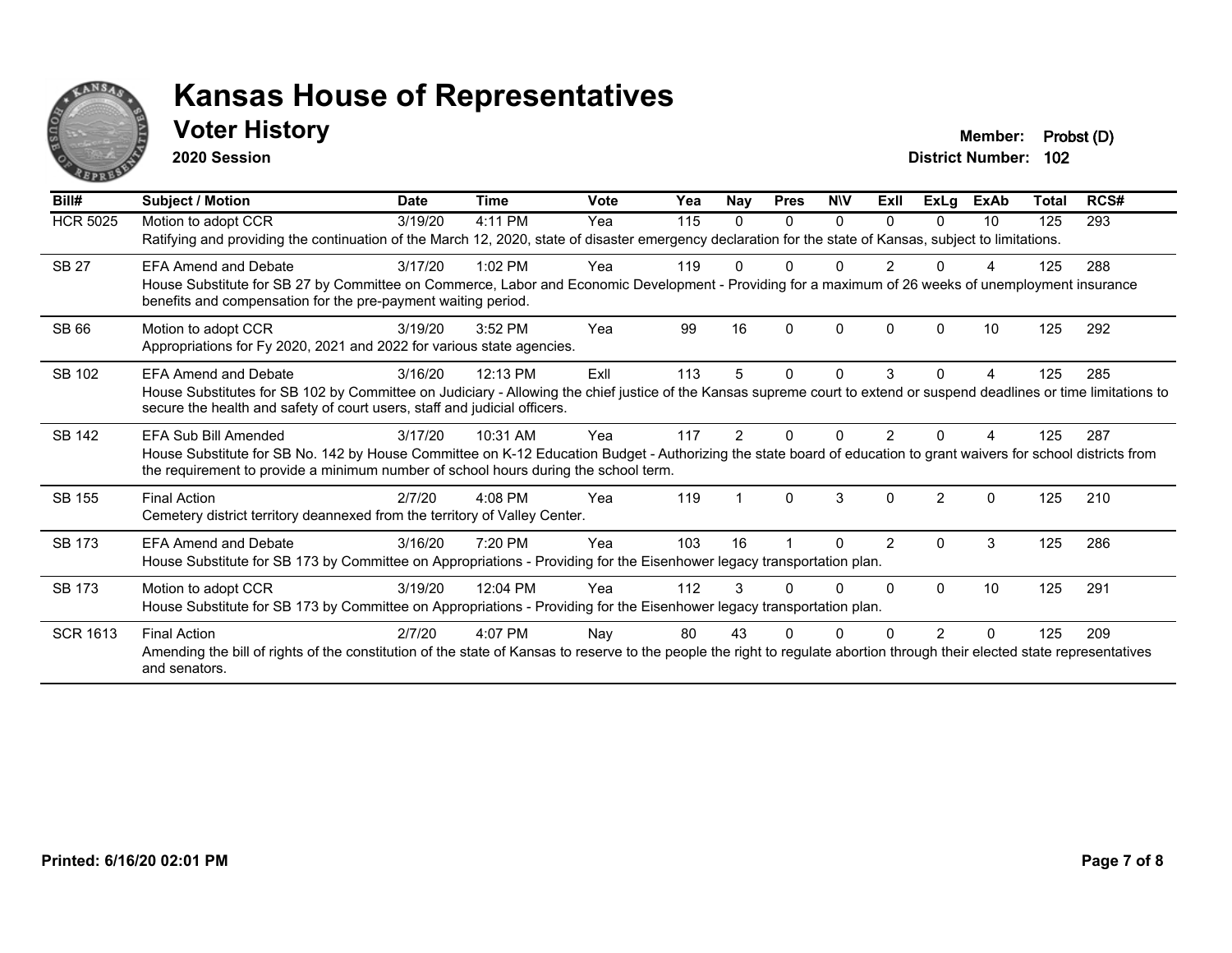

#### **Voter History Member: Probst (D)**

**2020 Session**

| Bill#           | <b>Subject / Motion</b>                                                                                                                                                                                                                                                                 | <b>Date</b> | <b>Time</b> | Vote | Yea | Nay      | <b>Pres</b> | <b>NIV</b> | ExII          | ExLg          | <b>ExAb</b> | <b>Total</b> | RCS# |
|-----------------|-----------------------------------------------------------------------------------------------------------------------------------------------------------------------------------------------------------------------------------------------------------------------------------------|-------------|-------------|------|-----|----------|-------------|------------|---------------|---------------|-------------|--------------|------|
| <b>HCR 5025</b> | Motion to adopt CCR<br>Ratifying and providing the continuation of the March 12, 2020, state of disaster emergency declaration for the state of Kansas, subject to limitations.                                                                                                         | 3/19/20     | 4:11 PM     | Yea  | 115 | $\Omega$ | 0           | $\Omega$   | <sup>n</sup>  | $\Omega$      | 10          | 125          | 293  |
| <b>SB 27</b>    | <b>EFA Amend and Debate</b><br>House Substitute for SB 27 by Committee on Commerce, Labor and Economic Development - Providing for a maximum of 26 weeks of unemployment insurance<br>benefits and compensation for the pre-payment waiting period.                                     | 3/17/20     | $1:02$ PM   | Yea  | 119 |          |             | 0          |               |               |             | 125          | 288  |
| SB 66           | Motion to adopt CCR<br>Appropriations for Fy 2020, 2021 and 2022 for various state agencies.                                                                                                                                                                                            | 3/19/20     | 3:52 PM     | Yea  | 99  | 16       | $\Omega$    | $\Omega$   | <sup>0</sup>  | $\Omega$      | 10          | 125          | 292  |
| SB 102          | <b>EFA Amend and Debate</b><br>House Substitutes for SB 102 by Committee on Judiciary - Allowing the chief justice of the Kansas supreme court to extend or suspend deadlines or time limitations to<br>secure the health and safety of court users, staff and judicial officers.       | 3/16/20     | 12:13 PM    | ExII | 113 | 5        | 0           | $\Omega$   | 3             | $\Omega$      | 4           | 125          | 285  |
| SB 142          | <b>EFA Sub Bill Amended</b><br>House Substitute for SB No. 142 by House Committee on K-12 Education Budget - Authorizing the state board of education to grant waivers for school districts from<br>the requirement to provide a minimum number of school hours during the school term. | 3/17/20     | 10:31 AM    | Yea  | 117 | 2        | U           | N          |               |               |             | 125          | 287  |
| SB 155          | <b>Final Action</b><br>Cemetery district territory deannexed from the territory of Valley Center.                                                                                                                                                                                       | 2/7/20      | $4:08$ PM   | Yea  | 119 |          | $\Omega$    | 3          | $\Omega$      | $\mathcal{P}$ | $\Omega$    | 125          | 210  |
| <b>SB 173</b>   | <b>EFA Amend and Debate</b><br>House Substitute for SB 173 by Committee on Appropriations - Providing for the Eisenhower legacy transportation plan.                                                                                                                                    | 3/16/20     | 7:20 PM     | Yea  | 103 | 16       |             | N          | $\mathcal{P}$ | $\Omega$      | 3           | 125          | 286  |
| <b>SB 173</b>   | Motion to adopt CCR<br>House Substitute for SB 173 by Committee on Appropriations - Providing for the Eisenhower legacy transportation plan.                                                                                                                                            | 3/19/20     | 12:04 PM    | Yea  | 112 | 3        | O           | $\Omega$   |               | $\Omega$      | 10          | 125          | 291  |
| <b>SCR 1613</b> | <b>Final Action</b><br>Amending the bill of rights of the constitution of the state of Kansas to reserve to the people the right to regulate abortion through their elected state representatives<br>and senators.                                                                      | 2/7/20      | 4:07 PM     | Nay  | 80  | 43       | ი           |            |               | 2             | 0           | 125          | 209  |